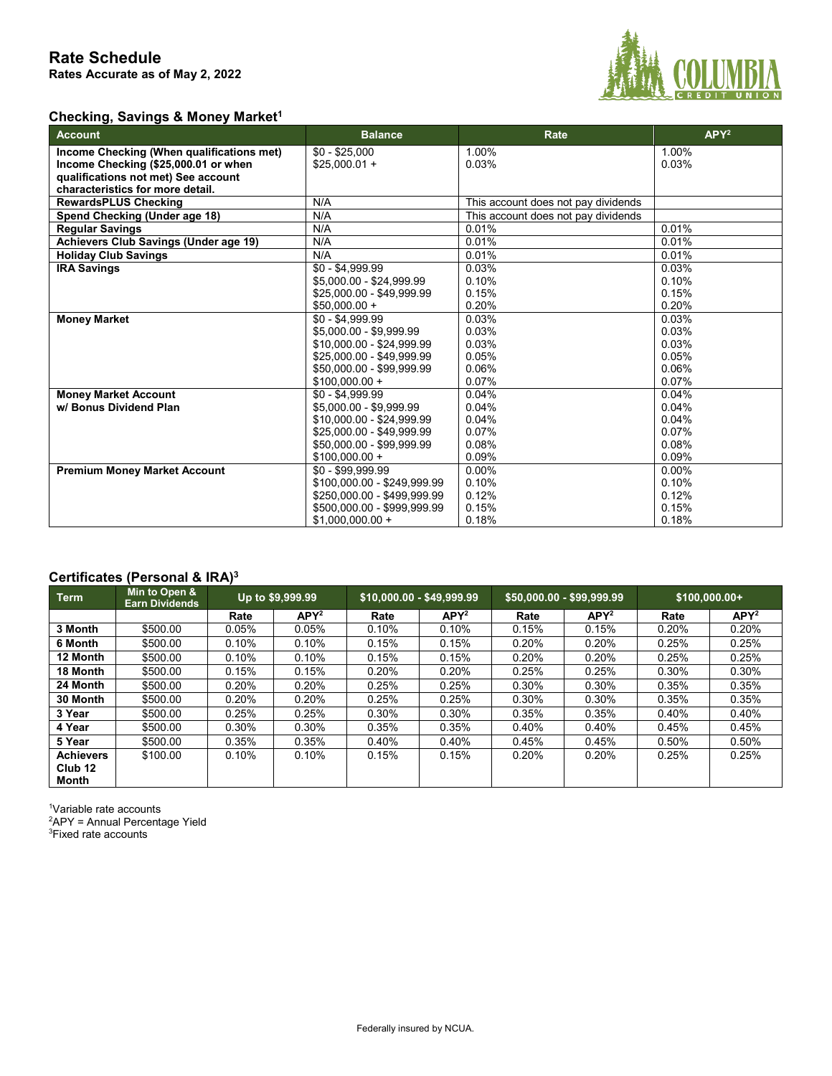

### **Checking, Savings & Money Market1**

| <b>Account</b>                            | <b>Balance</b>              | Rate                                | $APY^2$ |
|-------------------------------------------|-----------------------------|-------------------------------------|---------|
| Income Checking (When qualifications met) | $$0 - $25,000$              | 1.00%                               | 1.00%   |
| Income Checking (\$25,000.01 or when      | $$25.000.01 +$              | 0.03%                               | 0.03%   |
| qualifications not met) See account       |                             |                                     |         |
| characteristics for more detail.          |                             |                                     |         |
| <b>RewardsPLUS Checking</b>               | N/A                         | This account does not pay dividends |         |
| Spend Checking (Under age 18)             | N/A                         | This account does not pay dividends |         |
| <b>Regular Savings</b>                    | N/A                         | 0.01%                               | 0.01%   |
| Achievers Club Savings (Under age 19)     | N/A                         | 0.01%                               | 0.01%   |
| <b>Holiday Club Savings</b>               | N/A                         | 0.01%                               | 0.01%   |
| <b>IRA Savings</b>                        | $$0 - $4,999.99$            | 0.03%                               | 0.03%   |
|                                           | \$5,000.00 - \$24,999.99    | 0.10%                               | 0.10%   |
|                                           | \$25,000.00 - \$49,999.99   | 0.15%                               | 0.15%   |
|                                           | $$50,000.00 +$              | 0.20%                               | 0.20%   |
| <b>Money Market</b>                       | $$0 - $4.999.99$            | 0.03%                               | 0.03%   |
|                                           | \$5.000.00 - \$9.999.99     | 0.03%                               | 0.03%   |
|                                           | \$10,000.00 - \$24,999.99   | 0.03%                               | 0.03%   |
|                                           | \$25,000.00 - \$49,999.99   | 0.05%                               | 0.05%   |
|                                           | \$50,000.00 - \$99,999.99   | 0.06%                               | 0.06%   |
|                                           | $$100.000.00 +$             | 0.07%                               | 0.07%   |
| <b>Money Market Account</b>               | $$0 - $4.999.99$            | 0.04%                               | 0.04%   |
| w/ Bonus Dividend Plan                    | \$5,000.00 - \$9,999.99     | 0.04%                               | 0.04%   |
|                                           | \$10.000.00 - \$24.999.99   | 0.04%                               | 0.04%   |
|                                           | \$25,000.00 - \$49,999.99   | 0.07%                               | 0.07%   |
|                                           | \$50,000.00 - \$99,999.99   | 0.08%                               | 0.08%   |
|                                           | $$100,000.00 +$             | 0.09%                               | 0.09%   |
| <b>Premium Money Market Account</b>       | $$0 - $99.999.99$           | $0.00\%$                            | 0.00%   |
|                                           | \$100,000.00 - \$249,999.99 | 0.10%                               | 0.10%   |
|                                           | \$250,000.00 - \$499,999.99 | 0.12%                               | 0.12%   |
|                                           | \$500.000.00 - \$999.999.99 | 0.15%                               | 0.15%   |
|                                           | $$1,000,000.00 +$           | 0.18%                               | 0.18%   |

### **Certificates (Personal & IRA)3**

| <b>Term</b>        | Min to Open &<br><b>Earn Dividends</b> |          | Up to \$9,999.99 | \$10,000.00 - \$49,999.99 |                  | \$50,000.00 - \$99,999.99 |         | $$100,000.00+$ |         |
|--------------------|----------------------------------------|----------|------------------|---------------------------|------------------|---------------------------|---------|----------------|---------|
|                    |                                        | Rate     | APY <sup>2</sup> | Rate                      | APY <sup>2</sup> | Rate                      | $APY^2$ | Rate           | $APY^2$ |
| 3 Month            | \$500.00                               | 0.05%    | 0.05%            | 0.10%                     | 0.10%            | 0.15%                     | 0.15%   | 0.20%          | 0.20%   |
| 6 Month            | \$500.00                               | $0.10\%$ | 0.10%            | 0.15%                     | 0.15%            | 0.20%                     | 0.20%   | 0.25%          | 0.25%   |
| 12 Month           | \$500.00                               | 0.10%    | 0.10%            | 0.15%                     | 0.15%            | 0.20%                     | 0.20%   | 0.25%          | 0.25%   |
| 18 Month           | \$500.00                               | 0.15%    | 0.15%            | 0.20%                     | 0.20%            | 0.25%                     | 0.25%   | 0.30%          | 0.30%   |
| 24 Month           | \$500.00                               | 0.20%    | 0.20%            | 0.25%                     | 0.25%            | 0.30%                     | 0.30%   | 0.35%          | 0.35%   |
| 30 Month           | \$500.00                               | 0.20%    | 0.20%            | 0.25%                     | 0.25%            | 0.30%                     | 0.30%   | 0.35%          | 0.35%   |
| 3 Year             | \$500.00                               | 0.25%    | 0.25%            | 0.30%                     | 0.30%            | 0.35%                     | 0.35%   | 0.40%          | 0.40%   |
| 4 Year             | \$500.00                               | $0.30\%$ | $0.30\%$         | 0.35%                     | 0.35%            | 0.40%                     | 0.40%   | 0.45%          | 0.45%   |
| 5 Year             | \$500.00                               | 0.35%    | 0.35%            | 0.40%                     | 0.40%            | 0.45%                     | 0.45%   | 0.50%          | 0.50%   |
| <b>Achievers</b>   | \$100.00                               | 0.10%    | 0.10%            | 0.15%                     | 0.15%            | 0.20%                     | 0.20%   | 0.25%          | 0.25%   |
| Club <sub>12</sub> |                                        |          |                  |                           |                  |                           |         |                |         |
| Month              |                                        |          |                  |                           |                  |                           |         |                |         |

1 Variable rate accounts

<sup>2</sup>APY = Annual Percentage Yield

3 Fixed rate accounts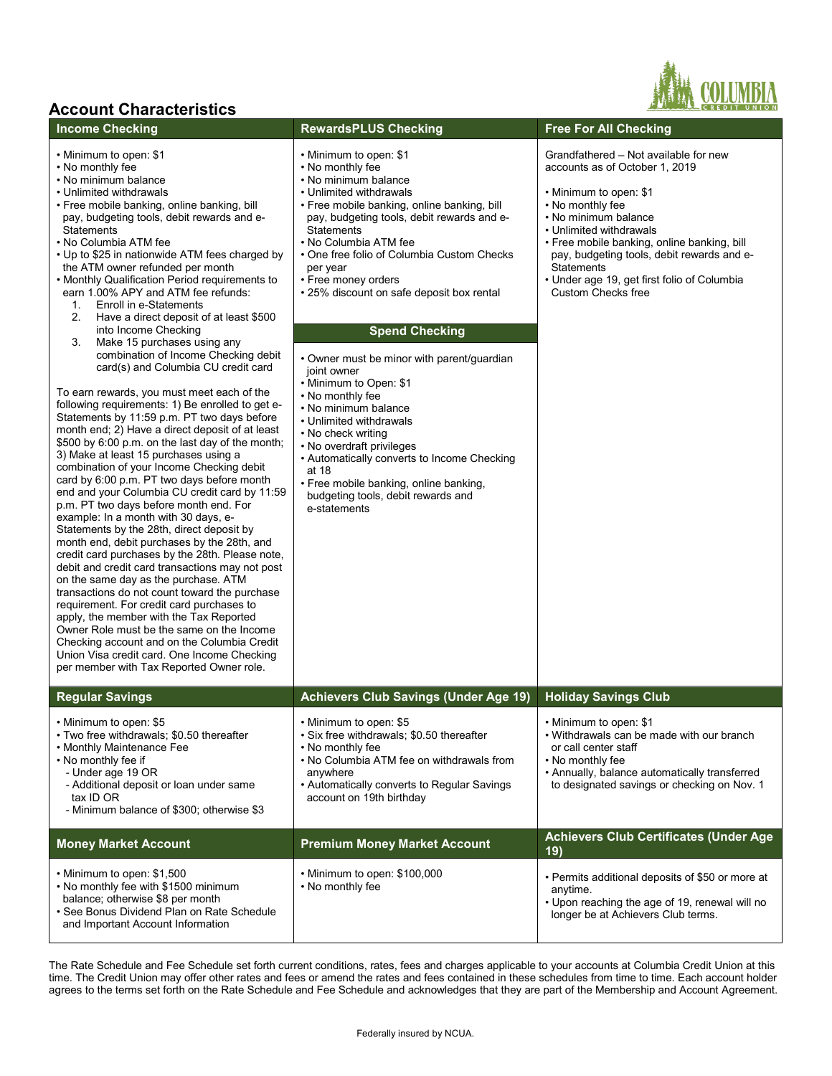## **Account Characteristics**

- Minimum to open: \$1
- No monthly fee
- No minimum balance
- Unlimited withdrawals
- Free mobile banking, online banking, bill pay, budgeting tools, debit rewards and e- **Statements**
- No Columbia ATM fee

• Minimum to open: \$1,500

• No monthly fee with \$1500 minimum balance; otherwise \$8 per month

• See Bonus Dividend Plan on Rate Schedule and Important Account Information

- Up to \$25 in nationwide ATM fees charged by the ATM owner refunded per month
- Monthly Qualification Period requirements to earn 1.00% APY and ATM fee refunds:
	-
- 1. Enroll in e-Statements<br>2. Have a direct denosit of 2. Have a direct deposit of at least \$500 into Income Checking 3. Make 15 purchases using any combination of Income Checking debit card(s) and Columbia CU credit card To earn rewards, you must meet each of the following requirements: 1) Be enrolled to get e-Statements by 11:59 p.m. PT two days before month end; 2) Have a direct deposit of at least \$500 by 6:00 p.m. on the last day of the month; 3) Make at least 15 purchases using a combination of your Income Checking debit card by 6:00 p.m. PT two days before month end and your Columbia CU credit card by 11:59 p.m. PT two days before month end. For example: In a month with 30 days, e-Statements by the 28th, direct deposit by month end, debit purchases by the 28th, and credit card purchases by the 28th. Please note, debit and credit card transactions may not post on the same day as the purchase. ATM transactions do not count toward the purchase requirement. For credit card purchases to apply, the member with the Tax Reported Owner Role must be the same on the Income Checking account and on the Columbia Credit Union Visa credit card. One Income Checking per member with Tax Reported Owner role. • 25% discount on safe deposit box rental Custom Checks free **Spend Checking** • Owner must be minor with parent/guardian joint owner • Minimum to Open: \$1 • No monthly fee • No minimum balance • Unlimited withdrawals • No check writing • No overdraft privileges • Automatically converts to Income Checking at 18 • Free mobile banking, online banking, budgeting tools, debit rewards and e-statements **Regular Savings Achievers Club Savings (Under Age 19) Holiday Savings Club** • Minimum to open: \$5 • Two free withdrawals; \$0.50 thereafter • Monthly Maintenance Fee • No monthly fee if - Under age 19 OR - Additional deposit or loan under same tax ID OR - Minimum balance of \$300; otherwise \$3 • Minimum to open: \$5 • Six free withdrawals; \$0.50 thereafter • No monthly fee • No Columbia ATM fee on withdrawals from anywhere • Automatically converts to Regular Savings account on 19th birthday • Minimum to open: \$1 • Withdrawals can be made with our branch or call center staff • No monthly fee • Annually, balance automatically transferred to designated savings or checking on Nov. 1 **Money Market Account Premium Money Market Account Achievers Club Certificates** (Under Age **Achievers Achievers** Club Certificates (Under Age **19)**
- Minimum to open: \$1
	- No monthly fee
	- No minimum balance
	- Unlimited withdrawals
	- Free mobile banking, online banking, bill pay, budgeting tools, debit rewards and e- **Statements**
	- No Columbia ATM fee
	- One free folio of Columbia Custom Checks per year
	- Free money orders

### **Income Checking <b>RewardsPLUS** Checking **Free For All Checking**

Grandfathered – Not available for new accounts as of October 1, 2019

- Minimum to open: \$1
- No monthly fee
- No minimum balance
- Unlimited withdrawals
- Free mobile banking, online banking, bill pay, budgeting tools, debit rewards and e- **Statements**
- Under age 19, get first folio of Columbia

• Permits additional deposits of \$50 or more at

• Upon reaching the age of 19, renewal will no longer be at Achievers Club terms.

anytime.

The Rate Schedule and Fee Schedule set forth current conditions, rates, fees and charges applicable to your accounts at Columbia Credit Union at this time. The Credit Union may offer other rates and fees or amend the rates and fees contained in these schedules from time to time. Each account holder agrees to the terms set forth on the Rate Schedule and Fee Schedule and acknowledges that they are part of the Membership and Account Agreement.

• Minimum to open: \$100,000<br>• No monthly fee

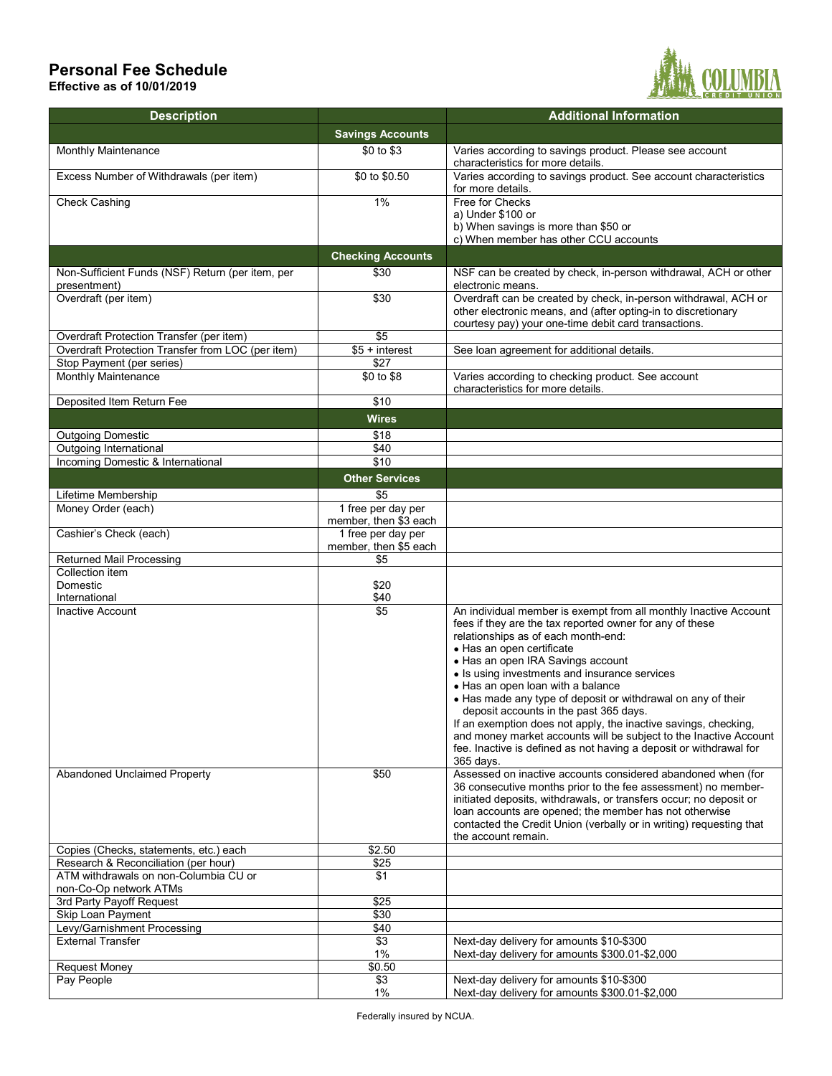# **Personal Fee Schedule**

**Effective as of 10/01/2019**



| <b>Description</b>                                              |                                             | <b>Additional Information</b>                                                                                                                                                                                                                                                                                                                                                                                                                                                                                                                                                                                                                                                                                                    |
|-----------------------------------------------------------------|---------------------------------------------|----------------------------------------------------------------------------------------------------------------------------------------------------------------------------------------------------------------------------------------------------------------------------------------------------------------------------------------------------------------------------------------------------------------------------------------------------------------------------------------------------------------------------------------------------------------------------------------------------------------------------------------------------------------------------------------------------------------------------------|
|                                                                 | <b>Savings Accounts</b>                     |                                                                                                                                                                                                                                                                                                                                                                                                                                                                                                                                                                                                                                                                                                                                  |
| Monthly Maintenance                                             | \$0 to \$3                                  | Varies according to savings product. Please see account<br>characteristics for more details.                                                                                                                                                                                                                                                                                                                                                                                                                                                                                                                                                                                                                                     |
| Excess Number of Withdrawals (per item)                         | \$0 to \$0.50                               | Varies according to savings product. See account characteristics<br>for more details.                                                                                                                                                                                                                                                                                                                                                                                                                                                                                                                                                                                                                                            |
| <b>Check Cashing</b>                                            | 1%                                          | Free for Checks<br>a) Under \$100 or<br>b) When savings is more than \$50 or                                                                                                                                                                                                                                                                                                                                                                                                                                                                                                                                                                                                                                                     |
|                                                                 |                                             | c) When member has other CCU accounts                                                                                                                                                                                                                                                                                                                                                                                                                                                                                                                                                                                                                                                                                            |
|                                                                 | <b>Checking Accounts</b>                    |                                                                                                                                                                                                                                                                                                                                                                                                                                                                                                                                                                                                                                                                                                                                  |
| Non-Sufficient Funds (NSF) Return (per item, per                | \$30                                        | NSF can be created by check, in-person withdrawal, ACH or other                                                                                                                                                                                                                                                                                                                                                                                                                                                                                                                                                                                                                                                                  |
| presentment)                                                    |                                             | electronic means.                                                                                                                                                                                                                                                                                                                                                                                                                                                                                                                                                                                                                                                                                                                |
| Overdraft (per item)                                            | \$30                                        | Overdraft can be created by check, in-person withdrawal, ACH or<br>other electronic means, and (after opting-in to discretionary<br>courtesy pay) your one-time debit card transactions.                                                                                                                                                                                                                                                                                                                                                                                                                                                                                                                                         |
| Overdraft Protection Transfer (per item)                        | $\overline{$}$                              |                                                                                                                                                                                                                                                                                                                                                                                                                                                                                                                                                                                                                                                                                                                                  |
| Overdraft Protection Transfer from LOC (per item)               | $$5 + interest$                             | See loan agreement for additional details.                                                                                                                                                                                                                                                                                                                                                                                                                                                                                                                                                                                                                                                                                       |
| Stop Payment (per series)                                       | \$27                                        |                                                                                                                                                                                                                                                                                                                                                                                                                                                                                                                                                                                                                                                                                                                                  |
| <b>Monthly Maintenance</b>                                      | \$0 to \$8                                  | Varies according to checking product. See account<br>characteristics for more details.                                                                                                                                                                                                                                                                                                                                                                                                                                                                                                                                                                                                                                           |
| Deposited Item Return Fee                                       | \$10                                        |                                                                                                                                                                                                                                                                                                                                                                                                                                                                                                                                                                                                                                                                                                                                  |
|                                                                 | <b>Wires</b>                                |                                                                                                                                                                                                                                                                                                                                                                                                                                                                                                                                                                                                                                                                                                                                  |
| <b>Outgoing Domestic</b>                                        | \$18                                        |                                                                                                                                                                                                                                                                                                                                                                                                                                                                                                                                                                                                                                                                                                                                  |
| Outgoing International                                          | \$40                                        |                                                                                                                                                                                                                                                                                                                                                                                                                                                                                                                                                                                                                                                                                                                                  |
| Incoming Domestic & International                               | \$10                                        |                                                                                                                                                                                                                                                                                                                                                                                                                                                                                                                                                                                                                                                                                                                                  |
|                                                                 | <b>Other Services</b>                       |                                                                                                                                                                                                                                                                                                                                                                                                                                                                                                                                                                                                                                                                                                                                  |
| Lifetime Membership                                             | \$5                                         |                                                                                                                                                                                                                                                                                                                                                                                                                                                                                                                                                                                                                                                                                                                                  |
| Money Order (each)                                              | 1 free per day per<br>member, then \$3 each |                                                                                                                                                                                                                                                                                                                                                                                                                                                                                                                                                                                                                                                                                                                                  |
| Cashier's Check (each)                                          | 1 free per day per<br>member, then \$5 each |                                                                                                                                                                                                                                                                                                                                                                                                                                                                                                                                                                                                                                                                                                                                  |
| <b>Returned Mail Processing</b>                                 | \$5                                         |                                                                                                                                                                                                                                                                                                                                                                                                                                                                                                                                                                                                                                                                                                                                  |
| Collection item<br>Domestic<br>International                    | \$20<br>\$40                                |                                                                                                                                                                                                                                                                                                                                                                                                                                                                                                                                                                                                                                                                                                                                  |
| Inactive Account<br><b>Abandoned Unclaimed Property</b>         | \$5<br>\$50                                 | An individual member is exempt from all monthly Inactive Account<br>fees if they are the tax reported owner for any of these<br>relationships as of each month-end:<br>• Has an open certificate<br>• Has an open IRA Savings account<br>• Is using investments and insurance services<br>• Has an open loan with a balance<br>• Has made any type of deposit or withdrawal on any of their<br>deposit accounts in the past 365 days.<br>If an exemption does not apply, the inactive savings, checking,<br>and money market accounts will be subject to the Inactive Account<br>fee. Inactive is defined as not having a deposit or withdrawal for<br>365 days.<br>Assessed on inactive accounts considered abandoned when (for |
|                                                                 |                                             | 36 consecutive months prior to the fee assessment) no member-<br>initiated deposits, withdrawals, or transfers occur; no deposit or<br>loan accounts are opened; the member has not otherwise<br>contacted the Credit Union (verbally or in writing) requesting that<br>the account remain.                                                                                                                                                                                                                                                                                                                                                                                                                                      |
| Copies (Checks, statements, etc.) each                          | \$2.50                                      |                                                                                                                                                                                                                                                                                                                                                                                                                                                                                                                                                                                                                                                                                                                                  |
| Research & Reconciliation (per hour)                            | \$25                                        |                                                                                                                                                                                                                                                                                                                                                                                                                                                                                                                                                                                                                                                                                                                                  |
| ATM withdrawals on non-Columbia CU or<br>non-Co-Op network ATMs | \$1                                         |                                                                                                                                                                                                                                                                                                                                                                                                                                                                                                                                                                                                                                                                                                                                  |
| 3rd Party Payoff Request                                        | \$25                                        |                                                                                                                                                                                                                                                                                                                                                                                                                                                                                                                                                                                                                                                                                                                                  |
| Skip Loan Payment                                               | \$30                                        |                                                                                                                                                                                                                                                                                                                                                                                                                                                                                                                                                                                                                                                                                                                                  |
| Levy/Garnishment Processing                                     | \$40                                        |                                                                                                                                                                                                                                                                                                                                                                                                                                                                                                                                                                                                                                                                                                                                  |
| <b>External Transfer</b>                                        | \$3                                         | Next-day delivery for amounts \$10-\$300                                                                                                                                                                                                                                                                                                                                                                                                                                                                                                                                                                                                                                                                                         |
|                                                                 | 1%                                          | Next-day delivery for amounts \$300.01-\$2,000                                                                                                                                                                                                                                                                                                                                                                                                                                                                                                                                                                                                                                                                                   |
| <b>Request Money</b>                                            | \$0.50                                      |                                                                                                                                                                                                                                                                                                                                                                                                                                                                                                                                                                                                                                                                                                                                  |
| Pay People                                                      | \$3                                         | Next-day delivery for amounts \$10-\$300                                                                                                                                                                                                                                                                                                                                                                                                                                                                                                                                                                                                                                                                                         |
|                                                                 | 1%                                          | Next-day delivery for amounts \$300.01-\$2,000                                                                                                                                                                                                                                                                                                                                                                                                                                                                                                                                                                                                                                                                                   |